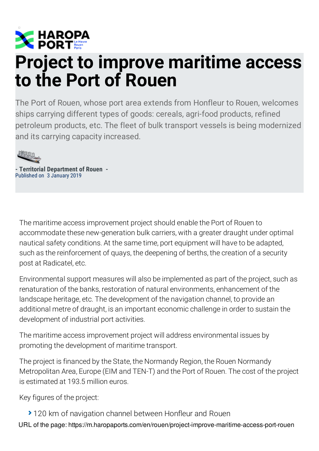

## **Project to improve maritime access to the Port of Rouen**

The Port of Rouen, whose port area extends from Honfleur to Rouen, welcomes ships carrying different types of goods: cereals, agri-food products, refined petroleum products, etc. The fleet of bulk transport vessels is being modernized and its carrying capacity increased.



**- Territorial Department of Rouen -** Published on 3 January 2019

The maritime access improvement project should enable the Port of Rouen to accommodate these new-generation bulk carriers, with a greater draught under optimal nautical safety conditions. At the same time, port equipment will have to be adapted, such as the reinforcement of quays, the deepening of berths, the creation of a security post at Radicatel, etc.

Environmental support measures will also be implemented as part of the project, such as renaturation of the banks, restoration of natural environments, enhancement of the landscape heritage, etc. The development of the navigation channel, to provide an additional metre of draught, is an important economic challenge in order to sustain the development of industrial port activities.

The maritime access improvement project will address environmental issues by promoting the development of maritime transport.

The project is financed by the State, the Normandy Region, the Rouen Normandy Metropolitan Area, Europe (EIM and TEN-T) and the Port of Rouen. The cost of the project is estimated at 193.5 million euros.

Key figures of the project:

▶ 120 km of navigation channel between Honfleur and Rouen

URL of the page: https://m.haropaports.com/en/rouen/project-improve-maritime-access-port-rouen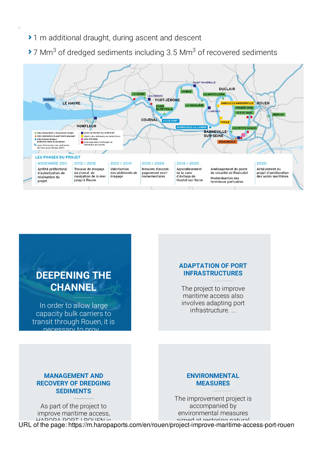▶ 1 m additional draught, during ascent and descent

 $\Box$ 

 $\blacktriangleright$  7 Mm<sup>3</sup> of dredged sediments including 3.5 Mm<sup>3</sup> of recovered sediments





URL of the page: [https://m.haropaports.c](https://m.haropaports.com/en/rouen/management-and-recovery-dredging-sediments)om/en/ro[uen/project-improve-maritime-access-po](https://m.haropaports.com/en/rouen/environmental-measures)rt-rouen